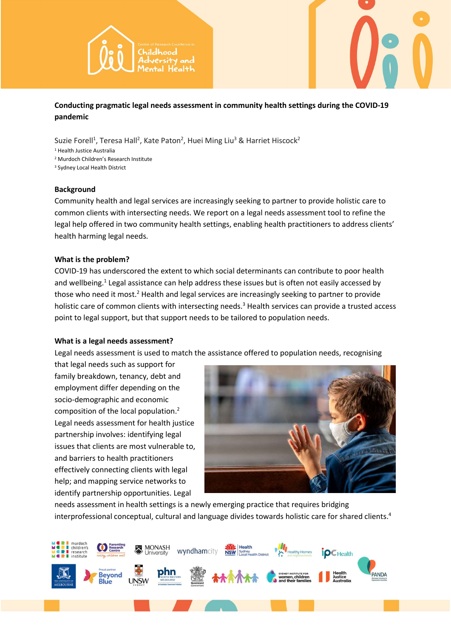



Conducting pragmatic legal needs assessment in community health settings during the COVID-19 pandemic

Suzie Forell<sup>1</sup>, Teresa Hall<sup>2</sup>, Kate Paton<sup>2</sup>, Huei Ming Liu<sup>3</sup> & Harriet Hiscock<sup>2</sup>

1 Health Justice Australia

2 Murdoch Children's Research Institute

<sup>3</sup> Sydney Local Health District

## **Background**

Community health and legal services are increasingly seeking to partner to provide holistic care to common clients with intersecting needs. We report on a legal needs assessment tool to refine the legal help offered in two community health settings, enabling health practitioners to address clients' health harming legal needs.

## What is the problem?

COVID-19 has underscored the extent to which social determinants can contribute to poor health and wellbeing.<sup>1</sup> Legal assistance can help address these issues but is often not easily accessed by those who need it most.<sup>2</sup> Health and legal services are increasingly seeking to partner to provide holistic care of common clients with intersecting needs.<sup>3</sup> Health services can provide a trusted access point to legal support, but that support needs to be tailored to population needs.

# What is a legal needs assessment?

Legal needs assessment is used to match the assistance offered to population needs, recognising

that legal needs such as support for family breakdown, tenancy, debt and employment differ depending on the socio-demographic and economic composition of the local population.<sup>2</sup> Legal needs assessment for health justice partnership involves: identifying legal issues that clients are most vulnerable to, and barriers to health practitioners effectively connecting clients with legal help; and mapping service networks to identify partnership opportunities. Legal



needs assessment in health settings is a newly emerging practice that requires bridging interprofessional conceptual, cultural and language divides towards holistic care for shared clients.4

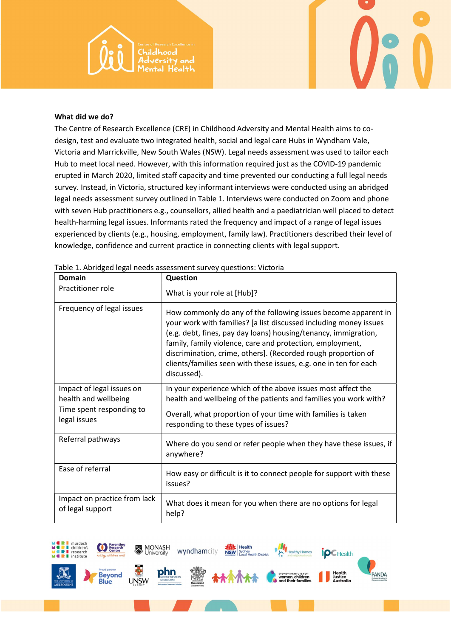

#### What did we do?

The Centre of Research Excellence (CRE) in Childhood Adversity and Mental Health aims to codesign, test and evaluate two integrated health, social and legal care Hubs in Wyndham Vale, Victoria and Marrickville, New South Wales (NSW). Legal needs assessment was used to tailor each Hub to meet local need. However, with this information required just as the COVID-19 pandemic erupted in March 2020, limited staff capacity and time prevented our conducting a full legal needs survey. Instead, in Victoria, structured key informant interviews were conducted using an abridged legal needs assessment survey outlined in Table 1. Interviews were conducted on Zoom and phone with seven Hub practitioners e.g., counsellors, allied health and a paediatrician well placed to detect health-harming legal issues. Informants rated the frequency and impact of a range of legal issues experienced by clients (e.g., housing, employment, family law). Practitioners described their level of knowledge, confidence and current practice in connecting clients with legal support.

| Domain                                            | Question                                                                                                                                                                                                                                                                                                                                                                                                                 |
|---------------------------------------------------|--------------------------------------------------------------------------------------------------------------------------------------------------------------------------------------------------------------------------------------------------------------------------------------------------------------------------------------------------------------------------------------------------------------------------|
| Practitioner role                                 | What is your role at [Hub]?                                                                                                                                                                                                                                                                                                                                                                                              |
| Frequency of legal issues                         | How commonly do any of the following issues become apparent in<br>your work with families? [a list discussed including money issues<br>(e.g. debt, fines, pay day loans) housing/tenancy, immigration,<br>family, family violence, care and protection, employment,<br>discrimination, crime, others]. (Recorded rough proportion of<br>clients/families seen with these issues, e.g. one in ten for each<br>discussed). |
| Impact of legal issues on<br>health and wellbeing | In your experience which of the above issues most affect the<br>health and wellbeing of the patients and families you work with?                                                                                                                                                                                                                                                                                         |
| Time spent responding to<br>legal issues          | Overall, what proportion of your time with families is taken<br>responding to these types of issues?                                                                                                                                                                                                                                                                                                                     |
| Referral pathways                                 | Where do you send or refer people when they have these issues, if<br>anywhere?                                                                                                                                                                                                                                                                                                                                           |
| Ease of referral                                  | How easy or difficult is it to connect people for support with these<br>issues?                                                                                                                                                                                                                                                                                                                                          |
| Impact on practice from lack<br>of legal support  | What does it mean for you when there are no options for legal<br>help?                                                                                                                                                                                                                                                                                                                                                   |

Table 1. Abridged legal needs assessment survey questions: Victoria